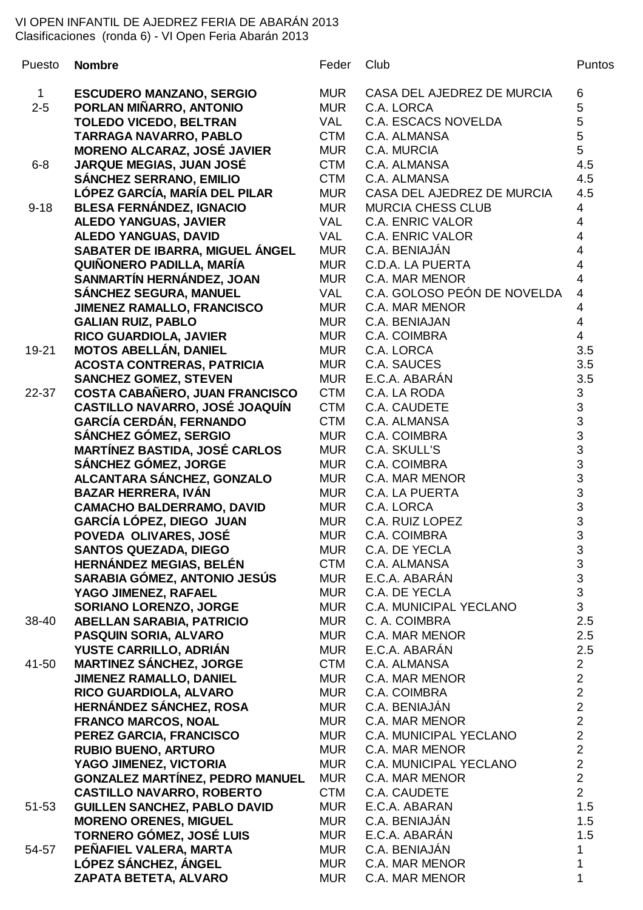## VI OPEN INFANTIL DE AJEDREZ FERIA DE ABARÁN 2013 Clasificaciones (ronda 6) - VI Open Feria Abarán 2013

| Puesto      | <b>Nombre</b>                                                    | Feder             | Club                                  | <b>Puntos</b>                                     |
|-------------|------------------------------------------------------------------|-------------------|---------------------------------------|---------------------------------------------------|
| $\mathbf 1$ | <b>ESCUDERO MANZANO, SERGIO</b>                                  | <b>MUR</b>        | CASA DEL AJEDREZ DE MURCIA            | 6                                                 |
| $2 - 5$     | PORLAN MIÑARRO, ANTONIO                                          | <b>MUR</b>        | C.A. LORCA                            | 5                                                 |
|             | <b>TOLEDO VICEDO, BELTRAN</b>                                    | <b>VAL</b>        | <b>C.A. ESCACS NOVELDA</b>            | 5                                                 |
|             | <b>TARRAGA NAVARRO, PABLO</b>                                    | <b>CTM</b>        | C.A. ALMANSA                          | 5                                                 |
|             | <b>MORENO ALCARAZ, JOSÉ JAVIER</b>                               | <b>MUR</b>        | C.A. MURCIA                           | $\overline{5}$                                    |
| $6 - 8$     | <b>JARQUE MEGIAS, JUAN JOSÉ</b>                                  | <b>CTM</b>        | C.A. ALMANSA                          | 4.5                                               |
|             | <b>SÁNCHEZ SERRANO, EMILIO</b>                                   | <b>CTM</b>        | C.A. ALMANSA                          | 4.5                                               |
|             | LÓPEZ GARCÍA, MARÍA DEL PILAR                                    | <b>MUR</b>        | CASA DEL AJEDREZ DE MURCIA            | 4.5                                               |
| $9 - 18$    | <b>BLESA FERNÁNDEZ, IGNACIO</b>                                  | <b>MUR</b>        | <b>MURCIA CHESS CLUB</b>              | 4                                                 |
|             | <b>ALEDO YANGUAS, JAVIER</b>                                     | <b>VAL</b>        | <b>C.A. ENRIC VALOR</b>               | 4                                                 |
|             | <b>ALEDO YANGUAS, DAVID</b>                                      | <b>VAL</b>        | <b>C.A. ENRIC VALOR</b>               | 4                                                 |
|             | SABATER DE IBARRA, MIGUEL ÁNGEL                                  | <b>MUR</b>        | C.A. BENIAJÁN                         | 4                                                 |
|             | QUIÑONERO PADILLA, MARÍA                                         | <b>MUR</b>        | <b>C.D.A. LA PUERTA</b>               | $\overline{\mathbf{4}}$                           |
|             | SANMARTÍN HERNÁNDEZ, JOAN                                        | <b>MUR</b>        | <b>C.A. MAR MENOR</b>                 | 4                                                 |
|             | SÁNCHEZ SEGURA, MANUEL                                           | <b>VAL</b>        | C.A. GOLOSO PEÓN DE NOVELDA           | 4                                                 |
|             | <b>JIMENEZ RAMALLO, FRANCISCO</b>                                | <b>MUR</b>        | C.A. MAR MENOR                        | 4                                                 |
|             | <b>GALIAN RUIZ, PABLO</b>                                        | <b>MUR</b>        | C.A. BENIAJAN                         | 4                                                 |
|             | <b>RICO GUARDIOLA, JAVIER</b>                                    | <b>MUR</b>        | C.A. COIMBRA                          | $\overline{4}$                                    |
| 19-21       | <b>MOTOS ABELLÁN, DANIEL</b>                                     | <b>MUR</b>        | C.A. LORCA                            | 3.5                                               |
|             | <b>ACOSTA CONTRERAS, PATRICIA</b>                                | <b>MUR</b>        | C.A. SAUCES                           | 3.5                                               |
|             | <b>SANCHEZ GOMEZ, STEVEN</b>                                     | <b>MUR</b>        | E.C.A. ABARÁN                         | 3.5                                               |
| 22-37       | COSTA CABAÑERO, JUAN FRANCISCO                                   | <b>CTM</b>        | C.A. LA RODA                          | $\mathfrak{S}$                                    |
|             | CASTILLO NAVARRO, JOSÉ JOAQUÍN                                   | <b>CTM</b>        | C.A. CAUDETE                          |                                                   |
|             | <b>GARCÍA CERDÁN, FERNANDO</b>                                   | <b>CTM</b>        | C.A. ALMANSA                          |                                                   |
|             | SÁNCHEZ GÓMEZ, SERGIO                                            | <b>MUR</b>        | C.A. COIMBRA                          | $\begin{array}{c}\n3 \\ 3 \\ 3 \\ 3\n\end{array}$ |
|             | <b>MARTÍNEZ BASTIDA, JOSÉ CARLOS</b>                             | <b>MUR</b>        | C.A. SKULL'S                          |                                                   |
|             | SÁNCHEZ GÓMEZ, JORGE                                             | <b>MUR</b>        | C.A. COIMBRA                          |                                                   |
|             | ALCANTARA SÁNCHEZ, GONZALO                                       | <b>MUR</b>        | <b>C.A. MAR MENOR</b>                 |                                                   |
|             | <b>BAZAR HERRERA, IVÁN</b>                                       | <b>MUR</b>        | C.A. LA PUERTA                        |                                                   |
|             | <b>CAMACHO BALDERRAMO, DAVID</b>                                 | <b>MUR</b>        | C.A. LORCA                            | $\begin{array}{c} 3 \\ 3 \\ 3 \end{array}$        |
|             | GARCÍA LÓPEZ, DIEGO JUAN                                         | <b>MUR</b>        | C.A. RUIZ LOPEZ                       |                                                   |
|             | POVEDA OLIVARES, JOSÉ                                            | <b>MUR</b>        | C.A. COIMBRA                          | $\mathsf 3$                                       |
|             | <b>SANTOS QUEZADA, DIEGO</b>                                     | <b>MUR</b>        | C.A. DE YECLA                         | $\begin{array}{c} 3 \\ 3 \\ 3 \end{array}$        |
|             | <b>HERNÁNDEZ MEGIAS, BELÉN</b>                                   | <b>CTM</b>        | C.A. ALMANSA                          |                                                   |
|             | SARABIA GÓMEZ, ANTONIO JESÚS                                     | <b>MUR</b>        | E.C.A. ABARÁN                         |                                                   |
|             | YAGO JIMENEZ, RAFAEL                                             | <b>MUR</b>        | C.A. DE YECLA                         |                                                   |
|             | <b>SORIANO LORENZO, JORGE</b>                                    | <b>MUR</b>        | C.A. MUNICIPAL YECLANO                | 3                                                 |
| 38-40       | <b>ABELLAN SARABIA, PATRICIO</b>                                 | <b>MUR</b>        | C. A. COIMBRA                         | 2.5                                               |
|             | <b>PASQUIN SORIA, ALVARO</b>                                     | <b>MUR</b>        | C.A. MAR MENOR                        | 2.5                                               |
|             | YUSTE CARRILLO, ADRIÁN                                           | <b>MUR</b>        | E.C.A. ABARÁN                         | 2.5                                               |
| 41-50       | <b>MARTINEZ SÁNCHEZ, JORGE</b><br><b>JIMENEZ RAMALLO, DANIEL</b> | CTM<br><b>MUR</b> | C.A. ALMANSA<br><b>C.A. MAR MENOR</b> | $\overline{c}$<br>$\overline{c}$                  |
|             | RICO GUARDIOLA, ALVARO                                           | <b>MUR</b>        | C.A. COIMBRA                          | $\overline{c}$                                    |
|             | HERNÁNDEZ SÁNCHEZ, ROSA                                          | <b>MUR</b>        | C.A. BENIAJÁN                         |                                                   |
|             | <b>FRANCO MARCOS, NOAL</b>                                       | <b>MUR</b>        | C.A. MAR MENOR                        | $\begin{array}{c} 2 \\ 2 \\ 2 \end{array}$        |
|             | PEREZ GARCIA, FRANCISCO                                          | <b>MUR</b>        | C.A. MUNICIPAL YECLANO                |                                                   |
|             | <b>RUBIO BUENO, ARTURO</b>                                       | <b>MUR</b>        | C.A. MAR MENOR                        |                                                   |
|             | YAGO JIMENEZ, VICTORIA                                           | <b>MUR</b>        | <b>C.A. MUNICIPAL YECLANO</b>         | $\frac{2}{2}$                                     |
|             | <b>GONZALEZ MARTÍNEZ, PEDRO MANUEL</b>                           | <b>MUR</b>        | C.A. MAR MENOR                        | $\overline{2}$                                    |
|             | <b>CASTILLO NAVARRO, ROBERTO</b>                                 | <b>CTM</b>        | C.A. CAUDETE                          | $\overline{2}$                                    |
| 51-53       | <b>GUILLEN SANCHEZ, PABLO DAVID</b>                              | <b>MUR</b>        | E.C.A. ABARAN                         | 1.5                                               |
|             | <b>MORENO ORENES, MIGUEL</b>                                     | <b>MUR</b>        | C.A. BENIAJÁN                         | 1.5                                               |
|             | TORNERO GÓMEZ, JOSÉ LUIS                                         | <b>MUR</b>        | E.C.A. ABARÁN                         | 1.5                                               |
| 54-57       | PEÑAFIEL VALERA, MARTA                                           | <b>MUR</b>        | C.A. BENIAJÁN                         | 1                                                 |
|             | LÓPEZ SÁNCHEZ, ÁNGEL                                             | <b>MUR</b>        | C.A. MAR MENOR                        | 1                                                 |
|             | ZAPATA BETETA, ALVARO                                            | <b>MUR</b>        | C.A. MAR MENOR                        | 1                                                 |

| der  | Club                              | Punto:                                     |
|------|-----------------------------------|--------------------------------------------|
|      | JR CASA DEL AJEDREZ DE MURCIA 6   |                                            |
|      | JR C.A. LORCA                     | 5                                          |
| VE 1 | C.A. ESCACS NOVELDA               | 5                                          |
| M-   | C.A. ALMANSA                      | 5                                          |
|      | JR C.A. MURCIA                    | 5                                          |
|      | M C.A. ALMANSA                    | 4.5                                        |
|      | M C.A. ALMANSA                    | 4.5                                        |
|      | JR CASA DEL AJEDREZ DE MURCIA 4.5 |                                            |
| JR   | <b>MURCIA CHESS CLUB</b>          | $\overline{4}$                             |
|      | L C.A. ENRIC VALOR                | $\overline{4}$                             |
|      | L C.A. ENRIC VALOR                | $\overline{4}$                             |
|      | JR C.A. BENIAJÁN                  | $\overline{4}$                             |
|      | JR C.D.A. LA PUERTA               | $\overline{4}$                             |
|      | JR C.A. MAR MENOR                 | $\overline{4}$                             |
|      | LL C.A. GOLOSO PEÓN DE NOVELDA 4  |                                            |
|      | JR C.A. MAR MENOR                 | $\overline{4}$                             |
|      | JR C.A. BENIAJAN                  | $\overline{4}$                             |
|      |                                   |                                            |
|      | JR C.A. COIMBRA                   | $\overline{4}$                             |
| JR   | C.A. LORCA                        | 3.5                                        |
|      | JR C.A. SAUCES                    | 3.5                                        |
|      | JR E.C.A. ABARÁN                  | 3.5                                        |
|      | M C.A. LA RODA                    | 3                                          |
| MT-  | C.A. CAUDETE                      | 3                                          |
| MT-  | C.A. ALMANSA                      | 3                                          |
|      | JR C.A. COIMBRA                   | $\overline{3}$                             |
|      | JR C.A. SKULL'S                   | 3                                          |
|      | JR C.A. COIMBRA                   | $\overline{3}$                             |
|      | JR C.A. MAR MENOR                 | 3                                          |
| JR   | C.A. LA PUERTA                    | $\overline{3}$                             |
|      | JR C.A. LORCA                     | $\overline{3}$                             |
|      | JR C.A. RUIZ LOPEZ                | 3                                          |
|      | JR C.A. COIMBRA                   | 3                                          |
| JR   | C.A. DE YECLA                     | 3                                          |
| 'M   | C.A. ALMANSA                      |                                            |
| JR.  | E.C.A. ABARÁN                     | $\begin{array}{c} 3 \\ 3 \\ 3 \end{array}$ |
| JR I | C.A. DE YECLA                     |                                            |
| JR   | C.A. MUNICIPAL YECLANO            | 3                                          |
| JR   | C. A. COIMBRA                     | 2.5                                        |
| JR   | C.A. MAR MENOR                    | 2.5                                        |
| JR   | E.C.A. ABARÁN                     | 2.5                                        |
|      | M C.A. ALMANSA                    | 2                                          |
| JR   | <b>C.A. MAR MENOR</b>             | $\overline{c}$                             |
| JR   | C.A. COIMBRA                      | $\overline{\mathbf{c}}$                    |
| JR   | C.A. BENIAJÁN                     | $\frac{2}{2}$                              |
| JR   | C.A. MAR MENOR                    |                                            |
|      | JR C.A. MUNICIPAL YECLANO         | $\overline{2}$                             |
|      | JR C.A. MAR MENOR                 | $\overline{c}$                             |
| JR   | C.A. MUNICIPAL YECLANO            | $\overline{c}$                             |
| JR   | <b>C.A. MAR MENOR</b>             | $\overline{c}$                             |
| M-   | C.A. CAUDETE                      | $\overline{2}$                             |
|      | JR E.C.A. ABARAN                  | 1.5                                        |
|      | JR C.A. BENIAJÁN                  | 1.5                                        |
| JR   | E.C.A. ABARÁN                     | 1.5                                        |
| JR   | C.A. BENIAJÁN                     | $\mathbf{1}$                               |
| JR   | <b>C.A. MAR MENOR</b>             | $\mathbf{1}$                               |
| ID.  | $C$ A MAD MENOD                   | $\overline{1}$                             |